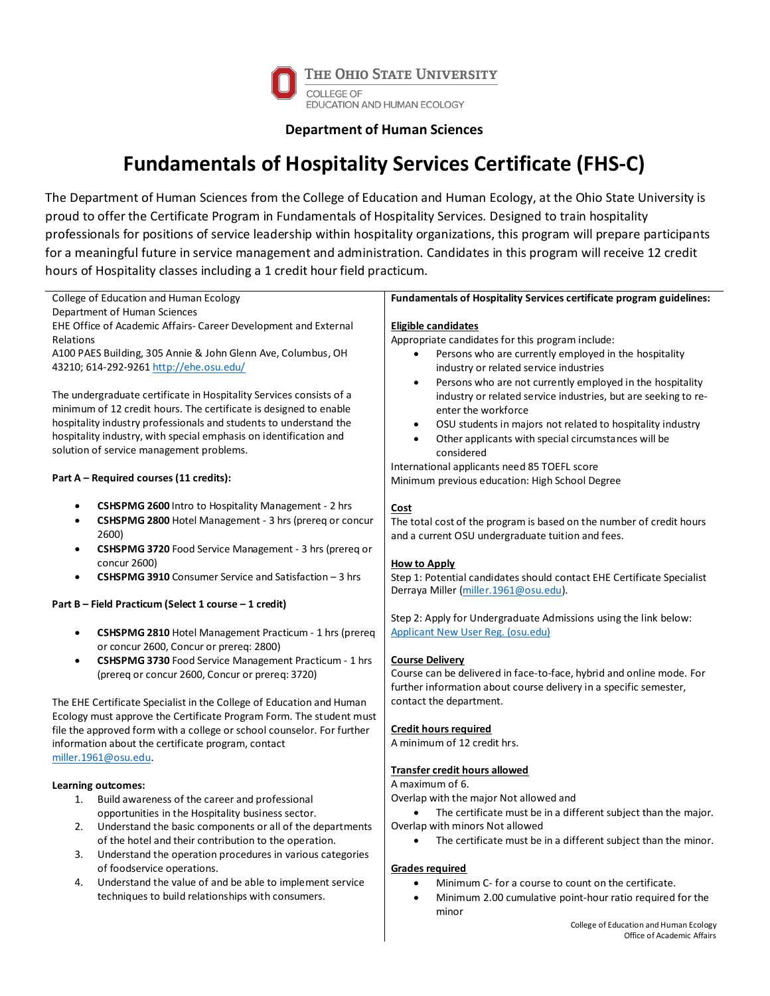

## **Department of Human Sciences**

## **Fundamentals of Hospitality Services Certificate (FHS-C)**

The Department of Human Sciences from the College of Education and Human Ecology, at the Ohio State University is proud to offer the Certificate Program in Fundamentals of Hospitality Services. Designed to train hospitality professionals for positions of service leadership within hospitality organizations, this program will prepare participants for a meaningful future in service management and administration. Candidates in this program will receive 12 credit hours of Hospitality classes including a 1 credit hour field practicum.

| College of Education and Human Ecology                                      | Fundamentals of Hospitality Services certificate program guidelines:        |
|-----------------------------------------------------------------------------|-----------------------------------------------------------------------------|
| Department of Human Sciences                                                |                                                                             |
| EHE Office of Academic Affairs- Career Development and External             | <b>Eligible candidates</b>                                                  |
| Relations                                                                   | Appropriate candidates for this program include:                            |
| A100 PAES Building, 305 Annie & John Glenn Ave, Columbus, OH                | Persons who are currently employed in the hospitality<br>$\bullet$          |
| 43210; 614-292-9261 http://ehe.osu.edu/                                     | industry or related service industries                                      |
|                                                                             | Persons who are not currently employed in the hospitality<br>$\bullet$      |
| The undergraduate certificate in Hospitality Services consists of a         | industry or related service industries, but are seeking to re-              |
| minimum of 12 credit hours. The certificate is designed to enable           | enter the workforce                                                         |
| hospitality industry professionals and students to understand the           | OSU students in majors not related to hospitality industry<br>$\bullet$     |
| hospitality industry, with special emphasis on identification and           | Other applicants with special circumstances will be                         |
| solution of service management problems.                                    | considered                                                                  |
|                                                                             | International applicants need 85 TOEFL score                                |
| Part A - Required courses (11 credits):                                     | Minimum previous education: High School Degree                              |
|                                                                             |                                                                             |
| CSHSPMG 2600 Intro to Hospitality Management - 2 hrs                        | Cost                                                                        |
| <b>CSHSPMG 2800</b> Hotel Management - 3 hrs (prereg or concur<br>$\bullet$ | The total cost of the program is based on the number of credit hours        |
| 2600)                                                                       | and a current OSU undergraduate tuition and fees.                           |
| CSHSPMG 3720 Food Service Management - 3 hrs (prereq or<br>$\bullet$        |                                                                             |
| concur 2600)                                                                | <b>How to Apply</b>                                                         |
| <b>CSHSPMG 3910</b> Consumer Service and Satisfaction $-3$ hrs              | Step 1: Potential candidates should contact EHE Certificate Specialist      |
|                                                                             | Derraya Miller (miller. 1961@osu.edu).                                      |
| Part B - Field Practicum (Select 1 course - 1 credit)                       |                                                                             |
|                                                                             | Step 2: Apply for Undergraduate Admissions using the link below:            |
| CSHSPMG 2810 Hotel Management Practicum - 1 hrs (prereq<br>$\bullet$        | <b>Applicant New User Reg. (osu.edu)</b>                                    |
| or concur 2600, Concur or prereq: 2800)                                     |                                                                             |
| CSHSPMG 3730 Food Service Management Practicum - 1 hrs<br>$\bullet$         | <b>Course Delivery</b>                                                      |
| (prereg or concur 2600, Concur or prereg: 3720)                             | Course can be delivered in face-to-face, hybrid and online mode. For        |
|                                                                             | further information about course delivery in a specific semester,           |
| The EHE Certificate Specialist in the College of Education and Human        | contact the department.                                                     |
| Ecology must approve the Certificate Program Form. The student must         |                                                                             |
| file the approved form with a college or school counselor. For further      | <b>Credit hours required</b>                                                |
| information about the certificate program, contact                          | A minimum of 12 credit hrs.                                                 |
| miller.1961@osu.edu.                                                        |                                                                             |
|                                                                             | <b>Transfer credit hours allowed</b>                                        |
| Learning outcomes:                                                          | A maximum of 6.                                                             |
| Build awareness of the career and professional<br>1.                        | Overlap with the major Not allowed and                                      |
| opportunities in the Hospitality business sector.                           | The certificate must be in a different subject than the major.<br>$\bullet$ |
| Understand the basic components or all of the departments<br>2.             | Overlap with minors Not allowed                                             |
| of the hotel and their contribution to the operation.                       | The certificate must be in a different subject than the minor.              |
| Understand the operation procedures in various categories<br>3.             |                                                                             |
| of foodservice operations.                                                  | <b>Grades required</b>                                                      |
| Understand the value of and be able to implement service<br>4.              | Minimum C- for a course to count on the certificate.<br>$\bullet$           |
| techniques to build relationships with consumers.                           | Minimum 2.00 cumulative point-hour ratio required for the<br>$\bullet$      |
|                                                                             | minor                                                                       |
|                                                                             | College of Education and Human Ecology                                      |